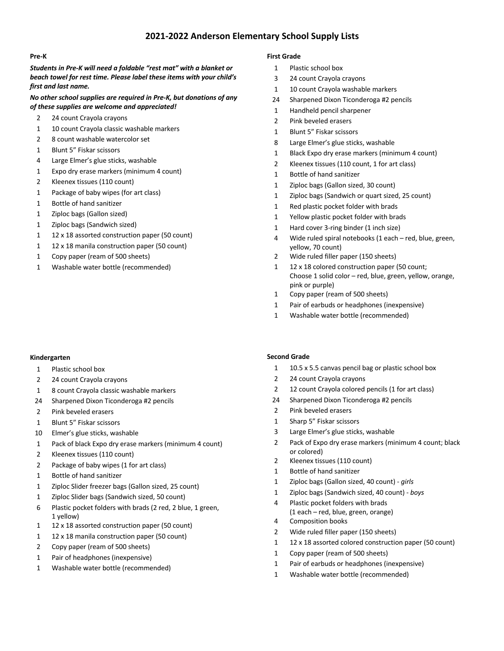# **2021-2022 Anderson Elementary School Supply Lists**

## **Pre-K**

*Students in Pre-K will need a foldable "rest mat" with a blanket or beach towel for rest time. Please label these items with your child's first and last name.* 

### *No other school supplies are required in Pre-K, but donations of any of these supplies are welcome and appreciated!*

- 24 count Crayola crayons
- 1 10 count Crayola classic washable markers
- 8 count washable watercolor set
- Blunt 5" Fiskar scissors
- Large Elmer's glue sticks, washable
- Expo dry erase markers (minimum 4 count)
- Kleenex tissues (110 count)
- Package of baby wipes (for art class)
- Bottle of hand sanitizer
- Ziploc bags (Gallon sized)
- Ziploc bags (Sandwich sized)
- 12 x 18 assorted construction paper (50 count)
- 1 12 x 18 manila construction paper (50 count)
- Copy paper (ream of 500 sheets)
- Washable water bottle (recommended)

#### **Kindergarten**

- Plastic school box
- 24 count Crayola crayons
- 8 count Crayola classic washable markers
- Sharpened Dixon Ticonderoga #2 pencils
- Pink beveled erasers
- Blunt 5" Fiskar scissors
- Elmer's glue sticks, washable
- Pack of black Expo dry erase markers (minimum 4 count)
- Kleenex tissues (110 count)
- Package of baby wipes (1 for art class)
- Bottle of hand sanitizer
- Ziploc Slider freezer bags (Gallon sized, 25 count)
- Ziploc Slider bags (Sandwich sized, 50 count)
- Plastic pocket folders with brads (2 red, 2 blue, 1 green, yellow)
- 12 x 18 assorted construction paper (50 count)
- 12 x 18 manila construction paper (50 count)
- Copy paper (ream of 500 sheets)
- Pair of headphones (inexpensive)
- Washable water bottle (recommended)

## **First Grade**

- Plastic school box
- 24 count Crayola crayons
- 1 10 count Crayola washable markers
- Sharpened Dixon Ticonderoga #2 pencils
- Handheld pencil sharpener
- Pink beveled erasers
- Blunt 5" Fiskar scissors
- Large Elmer's glue sticks, washable
- Black Expo dry erase markers (minimum 4 count)
- Kleenex tissues (110 count, 1 for art class)
- Bottle of hand sanitizer
- Ziploc bags (Gallon sized, 30 count)
- Ziploc bags (Sandwich or quart sized, 25 count)
- Red plastic pocket folder with brads
- Yellow plastic pocket folder with brads
- Hard cover 3-ring binder (1 inch size)
- Wide ruled spiral notebooks (1 each red, blue, green, yellow, 70 count)
- Wide ruled filler paper (150 sheets)
- 1 12 x 18 colored construction paper (50 count; Choose 1 solid color – red, blue, green, yellow, orange, pink or purple)
- Copy paper (ream of 500 sheets)
- Pair of earbuds or headphones (inexpensive)
- Washable water bottle (recommended)

#### **Second Grade**

- 1 10.5 x 5.5 canvas pencil bag or plastic school box
- 24 count Crayola crayons
- 12 count Crayola colored pencils (1 for art class)
- Sharpened Dixon Ticonderoga #2 pencils
- Pink beveled erasers
- Sharp 5" Fiskar scissors
- Large Elmer's glue sticks, washable
- Pack of Expo dry erase markers (minimum 4 count; black or colored)
- Kleenex tissues (110 count)
- Bottle of hand sanitizer
- Ziploc bags (Gallon sized, 40 count) *girls*
- Ziploc bags (Sandwich sized, 40 count) *boys*
- Plastic pocket folders with brads (1 each – red, blue, green, orange)
- Composition books
- Wide ruled filler paper (150 sheets)
- 12 x 18 assorted colored construction paper (50 count)
- Copy paper (ream of 500 sheets)
- Pair of earbuds or headphones (inexpensive)
- Washable water bottle (recommended)